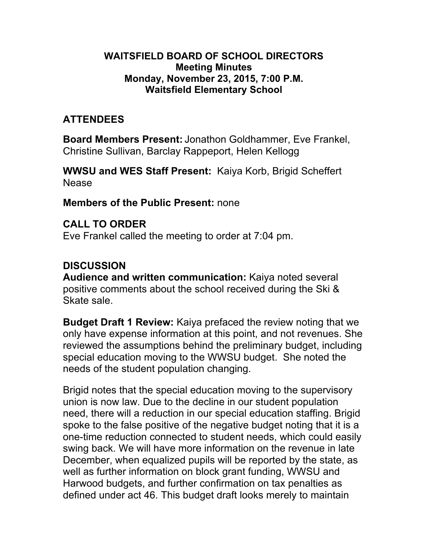#### **WAITSFIELD BOARD OF SCHOOL DIRECTORS Meeting Minutes Monday, November 23, 2015, 7:00 P.M. Waitsfield Elementary School**

## **ATTENDEES**

**Board Members Present:** Jonathon Goldhammer, Eve Frankel, Christine Sullivan, Barclay Rappeport, Helen Kellogg

**WWSU and WES Staff Present:** Kaiya Korb, Brigid Scheffert Nease

#### **Members of the Public Present:** none

**CALL TO ORDER** Eve Frankel called the meeting to order at 7:04 pm.

## **DISCUSSION**

**Audience and written communication:** Kaiya noted several positive comments about the school received during the Ski & Skate sale.

**Budget Draft 1 Review:** Kaiya prefaced the review noting that we only have expense information at this point, and not revenues. She reviewed the assumptions behind the preliminary budget, including special education moving to the WWSU budget. She noted the needs of the student population changing.

Brigid notes that the special education moving to the supervisory union is now law. Due to the decline in our student population need, there will a reduction in our special education staffing. Brigid spoke to the false positive of the negative budget noting that it is a one-time reduction connected to student needs, which could easily swing back. We will have more information on the revenue in late December, when equalized pupils will be reported by the state, as well as further information on block grant funding, WWSU and Harwood budgets, and further confirmation on tax penalties as defined under act 46. This budget draft looks merely to maintain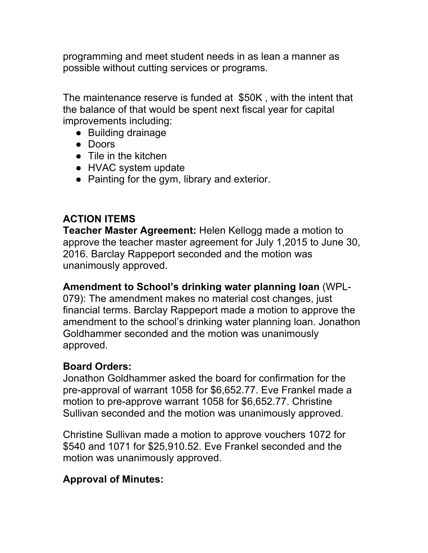programming and meet student needs in as lean a manner as possible without cutting services or programs.

The maintenance reserve is funded at \$50K , with the intent that the balance of that would be spent next fiscal year for capital improvements including:

- Building drainage
- Doors
- Tile in the kitchen
- HVAC system update
- Painting for the gym, library and exterior.

### **ACTION ITEMS**

**Teacher Master Agreement:** Helen Kellogg made a motion to approve the teacher master agreement for July 1,2015 to June 30, 2016. Barclay Rappeport seconded and the motion was unanimously approved.

#### **Amendment to School's drinking water planning loan** (WPL-

079): The amendment makes no material cost changes, just financial terms. Barclay Rappeport made a motion to approve the amendment to the school's drinking water planning loan. Jonathon Goldhammer seconded and the motion was unanimously approved.

#### **Board Orders:**

Jonathon Goldhammer asked the board for confirmation for the pre-approval of warrant 1058 for \$6,652.77. Eve Frankel made a motion to pre-approve warrant 1058 for \$6,652.77. Christine Sullivan seconded and the motion was unanimously approved.

Christine Sullivan made a motion to approve vouchers 1072 for \$540 and 1071 for \$25,910.52. Eve Frankel seconded and the motion was unanimously approved.

### **Approval of Minutes:**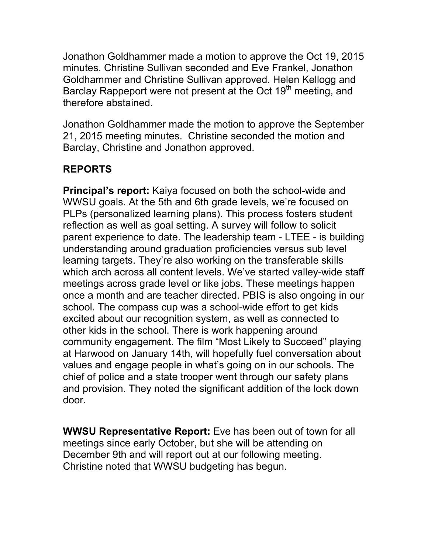Jonathon Goldhammer made a motion to approve the Oct 19, 2015 minutes. Christine Sullivan seconded and Eve Frankel, Jonathon Goldhammer and Christine Sullivan approved. Helen Kellogg and Barclay Rappeport were not present at the Oct 19<sup>th</sup> meeting, and therefore abstained.

Jonathon Goldhammer made the motion to approve the September 21, 2015 meeting minutes. Christine seconded the motion and Barclay, Christine and Jonathon approved.

# **REPORTS**

**Principal's report:** Kaiya focused on both the school-wide and WWSU goals. At the 5th and 6th grade levels, we're focused on PLPs (personalized learning plans). This process fosters student reflection as well as goal setting. A survey will follow to solicit parent experience to date. The leadership team - LTEE - is building understanding around graduation proficiencies versus sub level learning targets. They're also working on the transferable skills which arch across all content levels. We've started valley-wide staff meetings across grade level or like jobs. These meetings happen once a month and are teacher directed. PBIS is also ongoing in our school. The compass cup was a school-wide effort to get kids excited about our recognition system, as well as connected to other kids in the school. There is work happening around community engagement. The film "Most Likely to Succeed" playing at Harwood on January 14th, will hopefully fuel conversation about values and engage people in what's going on in our schools. The chief of police and a state trooper went through our safety plans and provision. They noted the significant addition of the lock down door.

**WWSU Representative Report:** Eve has been out of town for all meetings since early October, but she will be attending on December 9th and will report out at our following meeting. Christine noted that WWSU budgeting has begun.